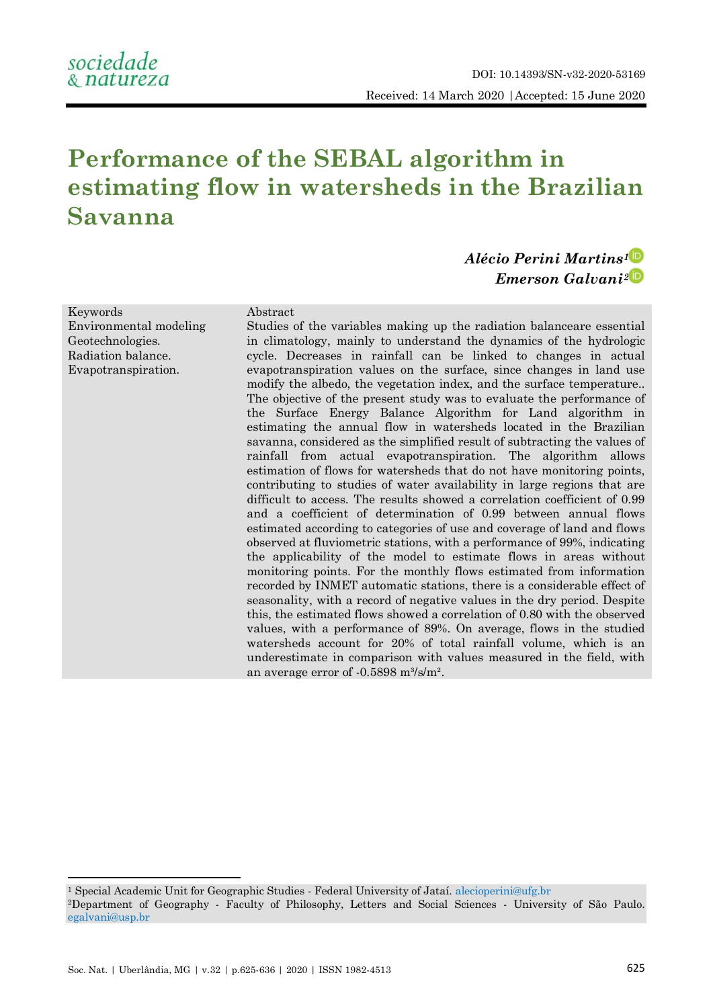# **Performance of the SEBAL algorithm in estimating flow in watersheds in the Brazilian Savanna**

# *Alécio Perini Martins[1](https://orcid.org/0000-0002-4485-0336) Emerson Galvani[2](https://orcid.org/0000-0002-8082-5963)*

Keywords Environmental modeling Geotechnologies. Radiation balance. Evapotranspiration.

#### Abstract

Studies of the variables making up the radiation balanceare essential in climatology, mainly to understand the dynamics of the hydrologic cycle. Decreases in rainfall can be linked to changes in actual evapotranspiration values on the surface, since changes in land use modify the albedo, the vegetation index, and the surface temperature.. The objective of the present study was to evaluate the performance of the Surface Energy Balance Algorithm for Land algorithm in estimating the annual flow in watersheds located in the Brazilian savanna, considered as the simplified result of subtracting the values of rainfall from actual evapotranspiration. The algorithm allows estimation of flows for watersheds that do not have monitoring points, contributing to studies of water availability in large regions that are difficult to access. The results showed a correlation coefficient of 0.99 and a coefficient of determination of 0.99 between annual flows estimated according to categories of use and coverage of land and flows observed at fluviometric stations, with a performance of 99%, indicating the applicability of the model to estimate flows in areas without monitoring points. For the monthly flows estimated from information recorded by INMET automatic stations, there is a considerable effect of seasonality, with a record of negative values in the dry period. Despite this, the estimated flows showed a correlation of 0.80 with the observed values, with a performance of 89%. On average, flows in the studied watersheds account for 20% of total rainfall volume, which is an underestimate in comparison with values measured in the field, with an average error of  $-0.5898$  m $\frac{3}{s/m^2}$ .

**.** 

<sup>1</sup> Special Academic Unit for Geographic Studies - Federal University of Jataí. [alecioperini@ufg.br](mailto:alecioperini@ufg.br) <sup>2</sup>Department of Geography - Faculty of Philosophy, Letters and Social Sciences - University of São Paulo. [egalvani@usp.br](mailto:egalvani@usp.br)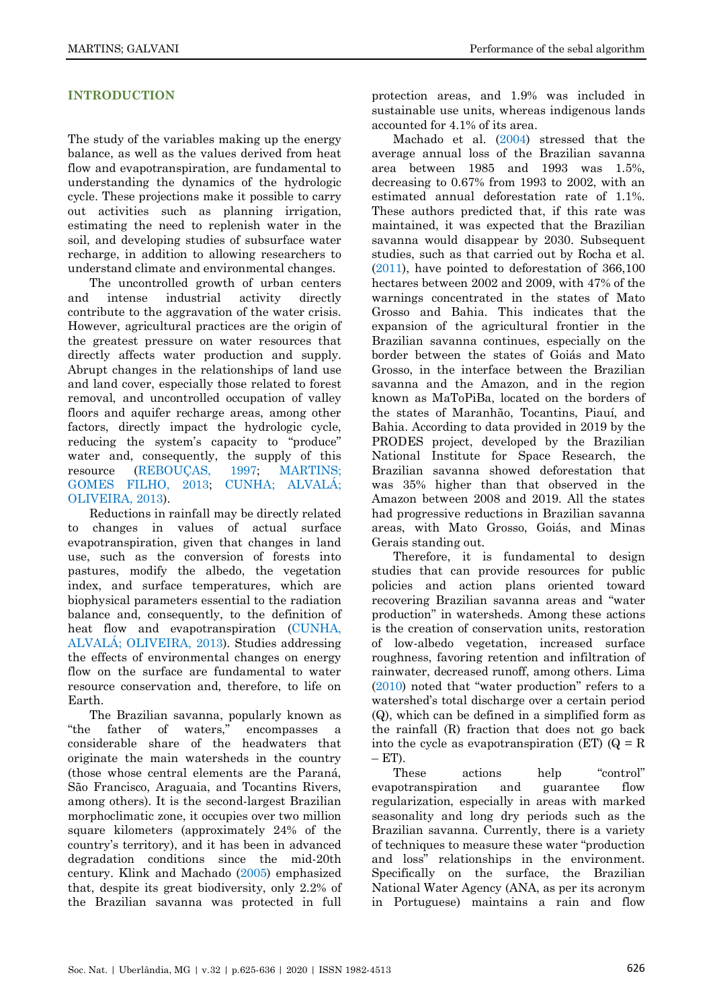# **INTRODUCTION**

The study of the variables making up the energy balance, as well as the values derived from heat flow and evapotranspiration, are fundamental to understanding the dynamics of the hydrologic cycle. These projections make it possible to carry out activities such as planning irrigation, estimating the need to replenish water in the soil, and developing studies of subsurface water recharge, in addition to allowing researchers to understand climate and environmental changes.

The uncontrolled growth of urban centers and intense industrial activity directly contribute to the aggravation of the water crisis. However, agricultural practices are the origin of the greatest pressure on water resources that directly affects water production and supply. Abrupt changes in the relationships of land use and land cover, especially those related to forest removal, and uncontrolled occupation of valley floors and aquifer recharge areas, among other factors, directly impact the hydrologic cycle, reducing the system's capacity to "produce" water and, consequently, the supply of this resource [\(REBOUÇAS, 1997;](#page-10-0) [MARTINS;](#page-10-1) [GOMES FILHO, 2013;](#page-10-1) CUNHA; [ALVALÁ;](#page-9-0) [OLIVEIRA, 2013\)](#page-9-0).

Reductions in rainfall may be directly related to changes in values of actual surface evapotranspiration, given that changes in land use, such as the conversion of forests into pastures, modify the albedo, the vegetation index, and surface temperatures, which are biophysical parameters essential to the radiation balance and, consequently, to the definition of heat flow and evapotranspiration [\(CUNHA,](#page-9-0)  ALVALÁ; [OLIVEIRA, 2013\)](#page-9-0). Studies addressing the effects of environmental changes on energy flow on the surface are fundamental to water resource conservation and, therefore, to life on Earth.

The Brazilian savanna, popularly known as ―the father of waters,‖ encompasses a considerable share of the headwaters that originate the main watersheds in the country (those whose central elements are the Paraná, São Francisco, Araguaia, and Tocantins Rivers, among others). It is the second-largest Brazilian morphoclimatic zone, it occupies over two million square kilometers (approximately 24% of the country's territory), and it has been in advanced degradation conditions since the mid-20th century. Klink and Machado [\(2005\)](#page-10-2) emphasized that, despite its great biodiversity, only 2.2% of the Brazilian savanna was protected in full

protection areas, and 1.9% was included in sustainable use units, whereas indigenous lands accounted for 4.1% of its area.

Machado et al. [\(2004\)](#page-10-3) stressed that the average annual loss of the Brazilian savanna area between 1985 and 1993 was 1.5%, decreasing to 0.67% from 1993 to 2002, with an estimated annual deforestation rate of 1.1%. These authors predicted that, if this rate was maintained, it was expected that the Brazilian savanna would disappear by 2030. Subsequent studies, such as that carried out by Rocha et al. [\(2011\)](#page-10-4), have pointed to deforestation of 366,100 hectares between 2002 and 2009, with 47% of the warnings concentrated in the states of Mato Grosso and Bahia. This indicates that the expansion of the agricultural frontier in the Brazilian savanna continues, especially on the border between the states of Goiás and Mato Grosso, in the interface between the Brazilian savanna and the Amazon, and in the region known as MaToPiBa, located on the borders of the states of Maranhão, Tocantins, Piauí, and Bahia. According to data provided in 2019 by the PRODES project, developed by the Brazilian National Institute for Space Research, the Brazilian savanna showed deforestation that was 35% higher than that observed in the Amazon between 2008 and 2019. All the states had progressive reductions in Brazilian savanna areas, with Mato Grosso, Goiás, and Minas Gerais standing out.

Therefore, it is fundamental to design studies that can provide resources for public policies and action plans oriented toward recovering Brazilian savanna areas and "water production‖ in watersheds. Among these actions is the creation of conservation units, restoration of low-albedo vegetation, increased surface roughness, favoring retention and infiltration of rainwater, decreased runoff, among others. Lima  $(2010)$  $(2010)$  noted that "water production" refers to a watershed's total discharge over a certain period (Q), which can be defined in a simplified form as the rainfall (R) fraction that does not go back into the cycle as evapotranspiration (ET)  $(Q = R)$  $- ET$ ).

These actions help "control" evapotranspiration and guarantee flow regularization, especially in areas with marked seasonality and long dry periods such as the Brazilian savanna. Currently, there is a variety of techniques to measure these water "production" and loss" relationships in the environment. Specifically on the surface, the Brazilian National Water Agency (ANA, as per its acronym in Portuguese) maintains a rain and flow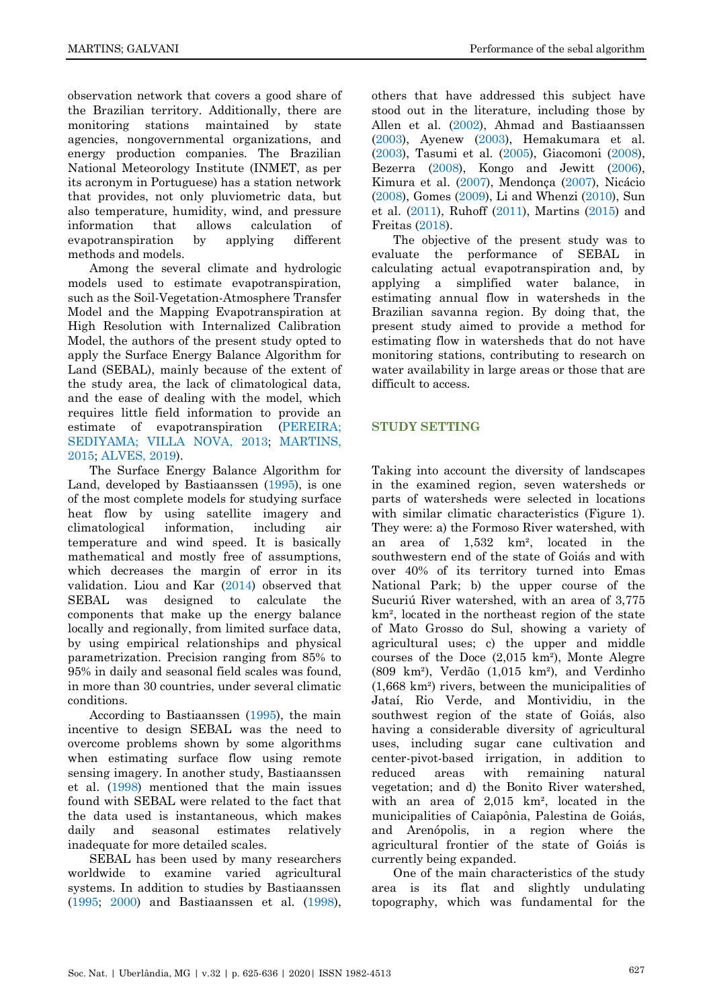observation network that covers a good share of the Brazilian territory. Additionally, there are monitoring stations maintained by state agencies, nongovernmental organizations, and energy production companies. The Brazilian National Meteorology Institute (INMET, as per its acronym in Portuguese) has a station network that provides, not only pluviometric data, but also temperature, humidity, wind, and pressure information that allows calculation of evapotranspiration by applying different methods and models.

Among the several climate and hydrologic models used to estimate evapotranspiration, such as the Soil-Vegetation-Atmosphere Transfer Model and the Mapping Evapotranspiration at High Resolution with Internalized Calibration Model, the authors of the present study opted to apply the Surface Energy Balance Algorithm for Land (SEBAL), mainly because of the extent of the study area, the lack of climatological data, and the ease of dealing with the model, which requires little field information to provide an estimate of evapotranspiration (PEREIRA: [SEDIYAMA; VILLA NOVA, 2013;](#page-10-6) [MARTINS,](#page-10-7)  [2015;](#page-10-7) [ALVES, 2019\)](#page-9-1).

The Surface Energy Balance Algorithm for Land, developed by Bastiaanssen [\(1995\)](#page-9-2), is one of the most complete models for studying surface heat flow by using satellite imagery and climatological information, including air temperature and wind speed. It is basically mathematical and mostly free of assumptions, which decreases the margin of error in its validation. Liou and Kar [\(2014\)](#page-10-8) observed that SEBAL was designed to calculate the components that make up the energy balance locally and regionally, from limited surface data, by using empirical relationships and physical parametrization. Precision ranging from 85% to 95% in daily and seasonal field scales was found, in more than 30 countries, under several climatic conditions.

According to Bastiaanssen [\(1995\)](#page-9-2), the main incentive to design SEBAL was the need to overcome problems shown by some algorithms when estimating surface flow using remote sensing imagery. In another study, Bastiaanssen et al. [\(1998\)](#page-9-3) mentioned that the main issues found with SEBAL were related to the fact that the data used is instantaneous, which makes daily and seasonal estimates relatively inadequate for more detailed scales.

SEBAL has been used by many researchers worldwide to examine varied agricultural systems. In addition to studies by Bastiaanssen [\(1995;](#page-9-2) [2000\)](#page-9-4) and Bastiaanssen et al. [\(1998\)](#page-9-4),

others that have addressed this subject have stood out in the literature, including those by Allen et al. [\(2002\)](#page-9-5), Ahmad and Bastiaanssen [\(2003\)](#page-9-4), Ayenew [\(2003\)](#page-9-6), Hemakumara et al. [\(2003\)](#page-9-7), Tasumi et al. [\(2005\)](#page-11-0), Giacomoni [\(2008\)](#page-9-8), Bezerra [\(2008\)](#page-9-9), Kongo and Jewitt [\(2006\)](#page-10-9), Kimura et al. [\(2007\)](#page-9-10), Mendonça [\(2007\)](#page-10-10), Nicácio [\(2008\)](#page-10-11), Gomes [\(2009\)](#page-9-11), Li and Whenzi [\(2010\)](#page-10-12), Sun et al. [\(2011\)](#page-10-13), Ruhoff [\(2011\)](#page-10-14), Martins [\(2015\)](#page-10-7) and Freitas [\(2018\)](#page-9-12).

The objective of the present study was to evaluate the performance of SEBAL in calculating actual evapotranspiration and, by applying a simplified water balance, in estimating annual flow in watersheds in the Brazilian savanna region. By doing that, the present study aimed to provide a method for estimating flow in watersheds that do not have monitoring stations, contributing to research on water availability in large areas or those that are difficult to access.

# **STUDY SETTING**

Taking into account the diversity of landscapes in the examined region, seven watersheds or parts of watersheds were selected in locations with similar climatic characteristics (Figure 1). They were: a) the Formoso River watershed, with an area of 1,532 km², located in the southwestern end of the state of Goiás and with over 40% of its territory turned into Emas National Park; b) the upper course of the Sucuriú River watershed, with an area of 3,775 km², located in the northeast region of the state of Mato Grosso do Sul, showing a variety of agricultural uses; c) the upper and middle courses of the Doce (2,015 km²), Monte Alegre (809 km²), Verdão (1,015 km²), and Verdinho (1,668 km²) rivers, between the municipalities of Jataí, Rio Verde, and Montividiu, in the southwest region of the state of Goiás, also having a considerable diversity of agricultural uses, including sugar cane cultivation and center-pivot-based irrigation, in addition to reduced areas with remaining natural vegetation; and d) the Bonito River watershed, with an area of 2,015 km², located in the municipalities of Caiapônia, Palestina de Goiás, and Arenópolis, in a region where the agricultural frontier of the state of Goiás is currently being expanded.

One of the main characteristics of the study area is its flat and slightly undulating topography, which was fundamental for the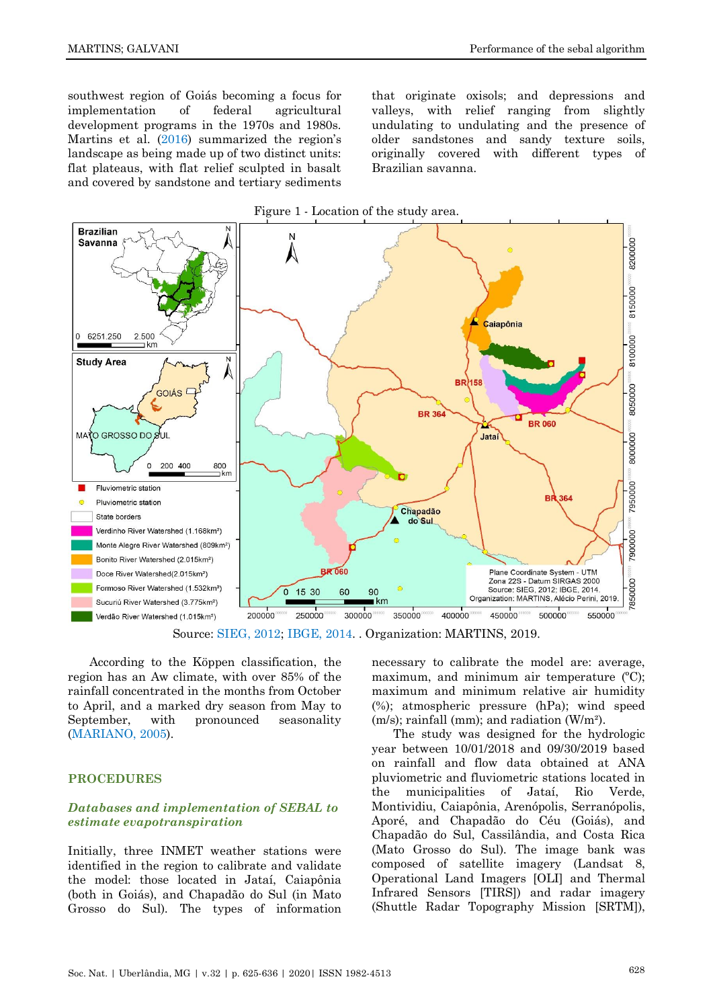southwest region of Goiás becoming a focus for implementation of federal agricultural development programs in the 1970s and 1980s. Martins et al. [\(2016](#page-10-15)) summarized the region's landscape as being made up of two distinct units: flat plateaus, with flat relief sculpted in basalt and covered by sandstone and tertiary sediments that originate oxisols; and depressions and valleys, with relief ranging from slightly undulating to undulating and the presence of older sandstones and sandy texture soils, originally covered with different types of Brazilian savanna.



Source: [SIEG,](#page-10-16) 2012; [IBGE,](#page-9-13) 2014. . Organization: MARTINS, 2019.

According to the Köppen classification, the region has an Aw climate, with over 85% of the rainfall concentrated in the months from October to April, and a marked dry season from May to September, with pronounced seasonality [\(MARIANO, 2005\)](#page-10-17).

#### **PROCEDURES**

# *Databases and implementation of SEBAL to estimate evapotranspiration*

Initially, three INMET weather stations were identified in the region to calibrate and validate the model: those located in Jataí, Caiapônia (both in Goiás), and Chapadão do Sul (in Mato Grosso do Sul). The types of information necessary to calibrate the model are: average, maximum, and minimum air temperature  $(C)$ ; maximum and minimum relative air humidity (%); atmospheric pressure (hPa); wind speed (m/s); rainfall (mm); and radiation (W/m²).

The study was designed for the hydrologic year between 10/01/2018 and 09/30/2019 based on rainfall and flow data obtained at ANA pluviometric and fluviometric stations located in the municipalities of Jataí, Rio Verde, Montividiu, Caiapônia, Arenópolis, Serranópolis, Aporé, and Chapadão do Céu (Goiás), and Chapadão do Sul, Cassilândia, and Costa Rica (Mato Grosso do Sul). The image bank was composed of satellite imagery (Landsat 8, Operational Land Imagers [OLI] and Thermal Infrared Sensors [TIRS]) and radar imagery (Shuttle Radar Topography Mission [SRTM]),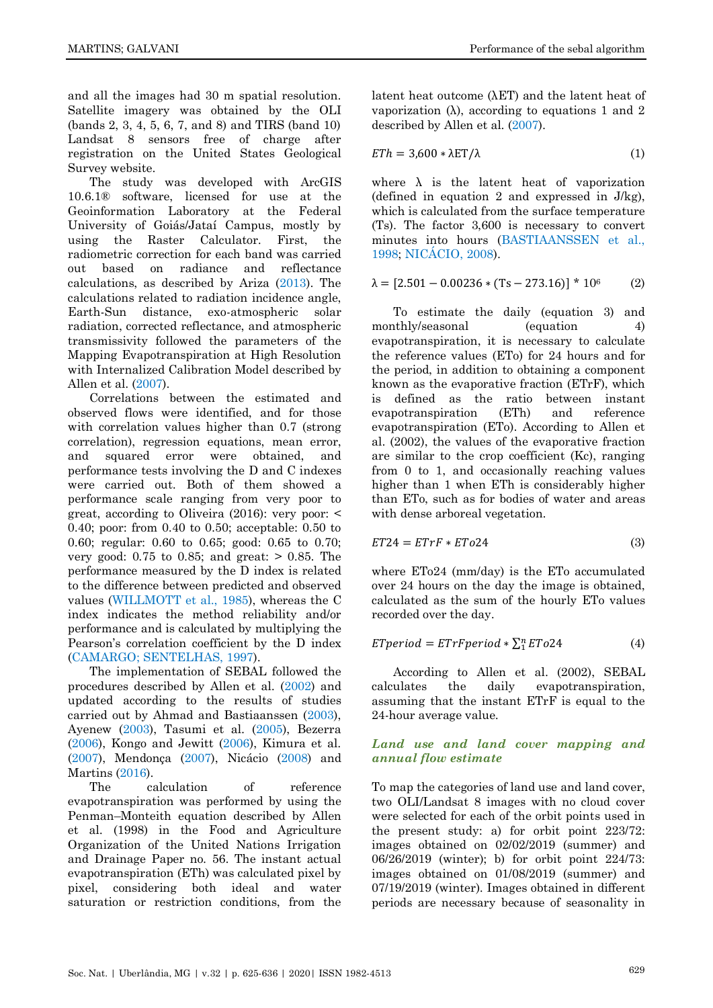and all the images had 30 m spatial resolution. Satellite imagery was obtained by the OLI (bands 2, 3, 4, 5, 6, 7, and 8) and TIRS (band 10) Landsat 8 sensors free of charge after registration on the United States Geological Survey website.

The study was developed with ArcGIS 10.6.1® software, licensed for use at the Geoinformation Laboratory at the Federal University of Goiás/Jataí Campus, mostly by using the Raster Calculator. First, the radiometric correction for each band was carried out based on radiance and reflectance calculations, as described by Ariza [\(2013\)](#page-9-14). The calculations related to radiation incidence angle, Earth-Sun distance, exo-atmospheric solar radiation, corrected reflectance, and atmospheric transmissivity followed the parameters of the Mapping Evapotranspiration at High Resolution with Internalized Calibration Model described by Allen et al. [\(2007\)](#page-9-15).

Correlations between the estimated and observed flows were identified, and for those with correlation values higher than 0.7 (strong correlation), regression equations, mean error, and squared error were obtained, and performance tests involving the D and C indexes were carried out. Both of them showed a performance scale ranging from very poor to great, according to Oliveira (2016): very poor: < 0.40; poor: from 0.40 to 0.50; acceptable: 0.50 to 0.60; regular: 0.60 to 0.65; good: 0.65 to 0.70; very good: 0.75 to 0.85; and great: > 0.85. The performance measured by the D index is related to the difference between predicted and observed values [\(WILLMOTT et al., 1985\)](#page-11-1), whereas the C index indicates the method reliability and/or performance and is calculated by multiplying the Pearson's correlation coefficient by the D index (CAMARGO; [SENTELHAS, 1997\)](#page-9-16).

The implementation of SEBAL followed the procedures described by Allen et al. [\(2002\)](#page-9-5) and updated according to the results of studies carried out by Ahmad and Bastiaanssen [\(2003\)](#page-8-0), Ayenew [\(2003\)](#page-9-6), Tasumi et al. [\(2005\)](#page-11-0), Bezerra [\(2006\)](#page-9-9), Kongo and Jewitt [\(2006\)](#page-10-9), Kimura et al. [\(2007\)](#page-9-10), Mendonça [\(2007\)](#page-10-10), Nicácio [\(2008\)](#page-10-11) and Martins [\(2016\)](#page-10-15).

The calculation of reference evapotranspiration was performed by using the Penman–Monteith equation described by Allen et al. (1998) in the Food and Agriculture Organization of the United Nations Irrigation and Drainage Paper no. 56. The instant actual evapotranspiration (ETh) was calculated pixel by pixel, considering both ideal and water saturation or restriction conditions, from the latent heat outcome (λET) and the latent heat of vaporization (λ), according to equations 1 and 2 described by Allen et al. [\(2007\)](#page-9-15).

$$
ETh = 3,600 * \lambda ET/\lambda \tag{1}
$$

where  $\lambda$  is the latent heat of vaporization (defined in equation 2 and expressed in J/kg), which is calculated from the surface temperature (Ts). The factor 3,600 is necessary to convert minutes into hours [\(BASTIAANSSEN et al.,](#page-9-3)  [1998;](#page-9-3) [NICÁCIO, 2008\)](#page-10-11).

$$
\lambda = [2.501 - 0.00236 * (Ts - 273.16)] * 106 \tag{2}
$$

To estimate the daily (equation 3) and monthly/seasonal (equation 4) evapotranspiration, it is necessary to calculate the reference values (ETo) for 24 hours and for the period, in addition to obtaining a component known as the evaporative fraction (ETrF), which is defined as the ratio between instant evapotranspiration (ETh) and reference evapotranspiration (ETo). According to Allen et al. (2002), the values of the evaporative fraction are similar to the crop coefficient (Kc), ranging from 0 to 1, and occasionally reaching values higher than 1 when ETh is considerably higher than ETo, such as for bodies of water and areas with dense arboreal vegetation.

$$
ET24 = ETrF * ETo24 \tag{3}
$$

where ETo24 (mm/day) is the ETo accumulated over 24 hours on the day the image is obtained, calculated as the sum of the hourly ETo values recorded over the day.

$$
E T period = E T r F period * \sum_{1}^{n} E T o 24
$$
 (4)

According to Allen et al. (2002), SEBAL calculates the daily evapotranspiration, assuming that the instant ETrF is equal to the 24-hour average value.

# *Land use and land cover mapping and annual flow estimate*

To map the categories of land use and land cover, two OLI/Landsat 8 images with no cloud cover were selected for each of the orbit points used in the present study: a) for orbit point 223/72: images obtained on 02/02/2019 (summer) and 06/26/2019 (winter); b) for orbit point 224/73: images obtained on 01/08/2019 (summer) and 07/19/2019 (winter). Images obtained in different periods are necessary because of seasonality in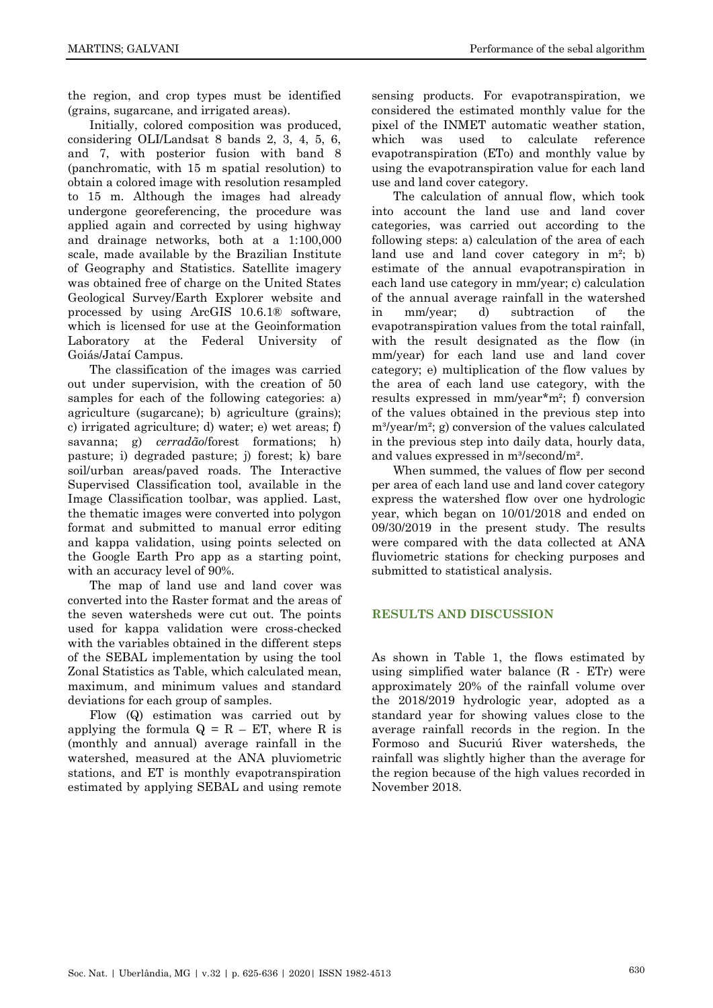the region, and crop types must be identified (grains, sugarcane, and irrigated areas).

Initially, colored composition was produced, considering OLI/Landsat 8 bands 2, 3, 4, 5, 6, and 7, with posterior fusion with band 8 (panchromatic, with 15 m spatial resolution) to obtain a colored image with resolution resampled to 15 m. Although the images had already undergone georeferencing, the procedure was applied again and corrected by using highway and drainage networks, both at a 1:100,000 scale, made available by the Brazilian Institute of Geography and Statistics. Satellite imagery was obtained free of charge on the United States Geological Survey/Earth Explorer website and processed by using ArcGIS 10.6.1® software, which is licensed for use at the Geoinformation Laboratory at the Federal University of Goiás/Jataí Campus.

The classification of the images was carried out under supervision, with the creation of 50 samples for each of the following categories: a) agriculture (sugarcane); b) agriculture (grains); c) irrigated agriculture; d) water; e) wet areas; f) savanna; g) *cerradão*/forest formations; h) pasture; i) degraded pasture; j) forest; k) bare soil/urban areas/paved roads. The Interactive Supervised Classification tool, available in the Image Classification toolbar, was applied. Last, the thematic images were converted into polygon format and submitted to manual error editing and kappa validation, using points selected on the Google Earth Pro app as a starting point, with an accuracy level of 90%.

The map of land use and land cover was converted into the Raster format and the areas of the seven watersheds were cut out. The points used for kappa validation were cross-checked with the variables obtained in the different steps of the SEBAL implementation by using the tool Zonal Statistics as Table, which calculated mean, maximum, and minimum values and standard deviations for each group of samples.

Flow (Q) estimation was carried out by applying the formula  $Q = R - ET$ , where R is (monthly and annual) average rainfall in the watershed, measured at the ANA pluviometric stations, and ET is monthly evapotranspiration estimated by applying SEBAL and using remote sensing products. For evapotranspiration, we considered the estimated monthly value for the pixel of the INMET automatic weather station, which was used to calculate reference evapotranspiration (ETo) and monthly value by using the evapotranspiration value for each land use and land cover category.

The calculation of annual flow, which took into account the land use and land cover categories, was carried out according to the following steps: a) calculation of the area of each land use and land cover category in m²; b) estimate of the annual evapotranspiration in each land use category in mm/year; c) calculation of the annual average rainfall in the watershed in mm/year; d) subtraction of the evapotranspiration values from the total rainfall, with the result designated as the flow (in mm/year) for each land use and land cover category; e) multiplication of the flow values by the area of each land use category, with the results expressed in mm/year\*m²; f) conversion of the values obtained in the previous step into  $m^3$ /year/m²; g) conversion of the values calculated in the previous step into daily data, hourly data, and values expressed in m<sup>3</sup>/second/m<sup>2</sup>.

When summed, the values of flow per second per area of each land use and land cover category express the watershed flow over one hydrologic year, which began on 10/01/2018 and ended on 09/30/2019 in the present study. The results were compared with the data collected at ANA fluviometric stations for checking purposes and submitted to statistical analysis.

# **RESULTS AND DISCUSSION**

As shown in Table 1, the flows estimated by using simplified water balance (R - ETr) were approximately 20% of the rainfall volume over the 2018/2019 hydrologic year, adopted as a standard year for showing values close to the average rainfall records in the region. In the Formoso and Sucuriú River watersheds, the rainfall was slightly higher than the average for the region because of the high values recorded in November 2018.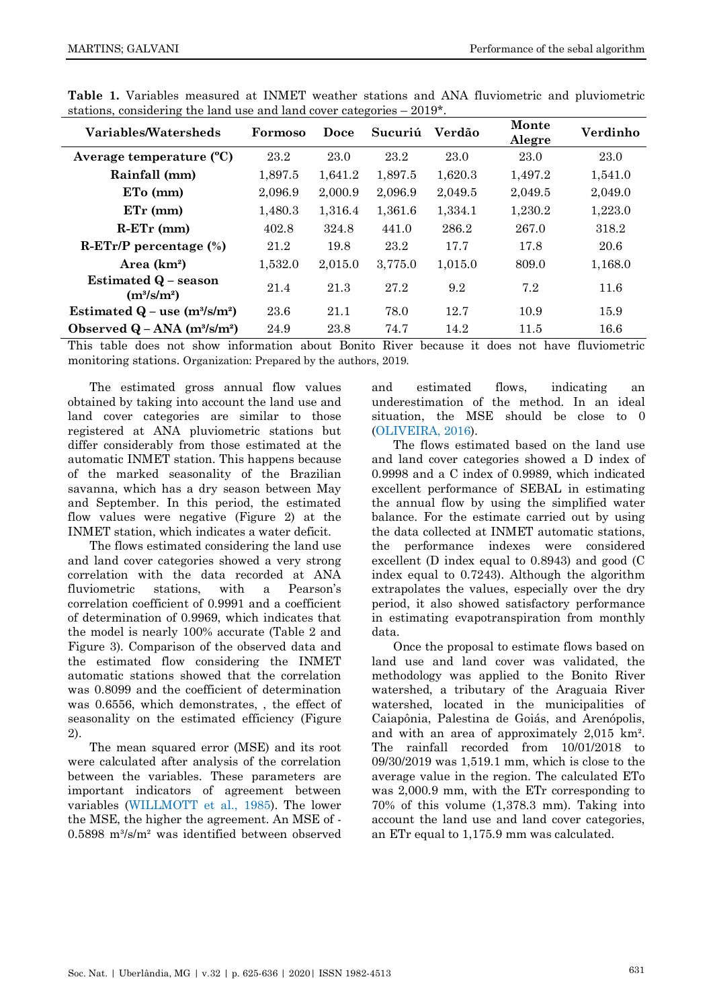| Variables/Watersheds                                   | Formoso | Doce    | Sucuriú | Verdão  | Monte<br>Alegre | Verdinho |
|--------------------------------------------------------|---------|---------|---------|---------|-----------------|----------|
| Average temperature (°C)                               | 23.2    | 23.0    | 23.2    | 23.0    | 23.0            | 23.0     |
| Rainfall (mm)                                          | 1,897.5 | 1,641.2 | 1,897.5 | 1,620.3 | 1,497.2         | 1,541.0  |
| $ETo$ (mm)                                             | 2,096.9 | 2,000.9 | 2,096.9 | 2,049.5 | 2,049.5         | 2,049.0  |
| $ETr$ (mm)                                             | 1,480.3 | 1,316.4 | 1,361.6 | 1,334.1 | 1,230.2         | 1,223.0  |
| $R-ETr$ (mm)                                           | 402.8   | 324.8   | 441.0   | 286.2   | 267.0           | 318.2    |
| $R-ETr/P$ percentage $(\%)$                            | 21.2    | 19.8    | 23.2    | 17.7    | 17.8            | 20.6     |
| Area $(km^2)$                                          | 1,532.0 | 2,015.0 | 3,775.0 | 1,015.0 | 809.0           | 1,168.0  |
| Estimated $Q$ – season<br>$(m^{3}/s/m^{2})$            | 21.4    | 21.3    | 27.2    | 9.2     | 7.2             | 11.6     |
| Estimated $Q$ – use $(m^3/s/m^2)$                      | 23.6    | 21.1    | 78.0    | 12.7    | 10.9            | 15.9     |
| Observed $Q - ANA$ (m <sup>3</sup> /s/m <sup>2</sup> ) | 24.9    | 23.8    | 74.7    | 14.2    | 11.5            | 16.6     |

**Table 1.** Variables measured at INMET weather stations and ANA fluviometric and pluviometric stations, considering the land use and land cover categories – 2019\*.

This table does not show information about Bonito River because it does not have fluviometric monitoring stations. Organization: Prepared by the authors, 2019.

The estimated gross annual flow values obtained by taking into account the land use and land cover categories are similar to those registered at ANA pluviometric stations but differ considerably from those estimated at the automatic INMET station. This happens because of the marked seasonality of the Brazilian savanna, which has a dry season between May and September. In this period, the estimated flow values were negative (Figure 2) at the INMET station, which indicates a water deficit.

The flows estimated considering the land use and land cover categories showed a very strong correlation with the data recorded at ANA fluviometric stations, with a Pearson's correlation coefficient of 0.9991 and a coefficient of determination of 0.9969, which indicates that the model is nearly 100% accurate (Table 2 and Figure 3). Comparison of the observed data and the estimated flow considering the INMET automatic stations showed that the correlation was 0.8099 and the coefficient of determination was 0.6556, which demonstrates, , the effect of seasonality on the estimated efficiency (Figure 2).

The mean squared error (MSE) and its root were calculated after analysis of the correlation between the variables. These parameters are important indicators of agreement between variables [\(WILLMOTT et al., 1985\)](#page-11-1). The lower the MSE, the higher the agreement. An MSE of -  $0.5898$  m<sup>3</sup>/s/m<sup>2</sup> was identified between observed and estimated flows, indicating an underestimation of the method. In an ideal situation, the MSE should be close to 0 [\(OLIVEIRA, 2016\)](#page-10-18).

The flows estimated based on the land use and land cover categories showed a D index of 0.9998 and a C index of 0.9989, which indicated excellent performance of SEBAL in estimating the annual flow by using the simplified water balance. For the estimate carried out by using the data collected at INMET automatic stations, the performance indexes were considered excellent (D index equal to 0.8943) and good (C index equal to 0.7243). Although the algorithm extrapolates the values, especially over the dry period, it also showed satisfactory performance in estimating evapotranspiration from monthly data.

Once the proposal to estimate flows based on land use and land cover was validated, the methodology was applied to the Bonito River watershed, a tributary of the Araguaia River watershed, located in the municipalities of Caiapônia, Palestina de Goiás, and Arenópolis, and with an area of approximately 2,015 km². The rainfall recorded from 10/01/2018 to 09/30/2019 was 1,519.1 mm, which is close to the average value in the region. The calculated ETo was 2,000.9 mm, with the ETr corresponding to 70% of this volume (1,378.3 mm). Taking into account the land use and land cover categories, an ETr equal to 1,175.9 mm was calculated.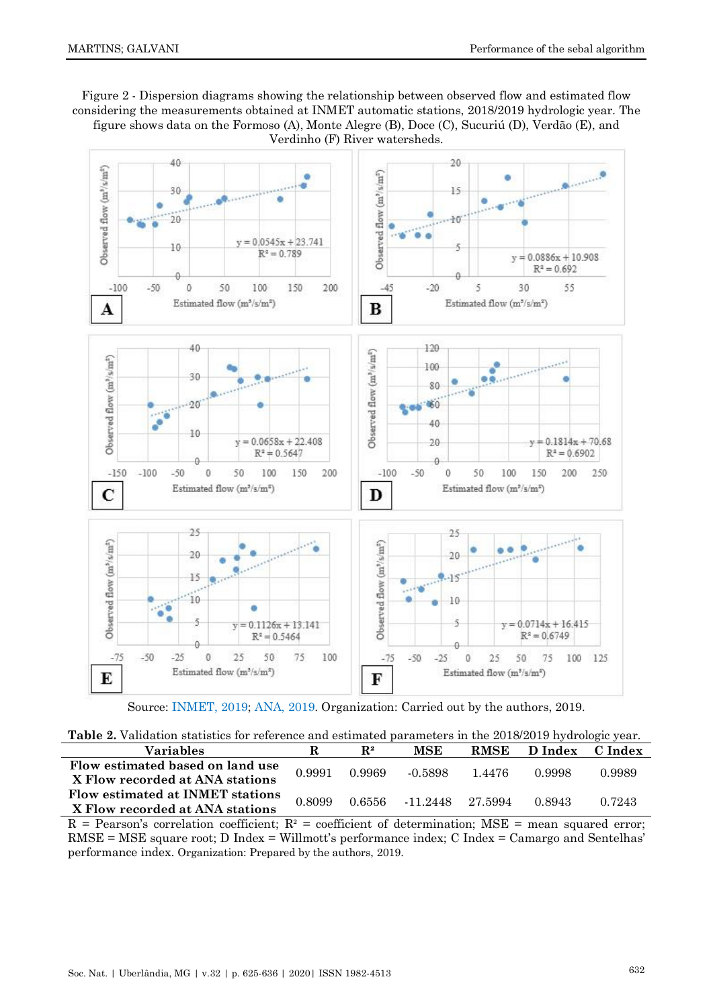# Figure 2 - Dispersion diagrams showing the relationship between observed flow and estimated flow considering the measurements obtained at INMET automatic stations, 2018/2019 hydrologic year. The figure shows data on the Formoso (A), Monte Alegre (B), Doce (C), Sucuriú (D), Verdão (E), and Verdinho (F) River watersheds.



Source: [INMET,](#page-9-17) 2019; [ANA,](#page-8-1) 2019. Organization: Carried out by the authors, 2019.

| <b>Table 2.</b> Validation statistics for reference and estimated parameters in the 2018/2019 hydrologic year. |  |
|----------------------------------------------------------------------------------------------------------------|--|
|----------------------------------------------------------------------------------------------------------------|--|

| Variables                                                           |        | $\mathbf{R}^2$ | MSE                     | <b>RMSE</b> | D Index | C Index |
|---------------------------------------------------------------------|--------|----------------|-------------------------|-------------|---------|---------|
| Flow estimated based on land use<br>X Flow recorded at ANA stations | 0.9991 | 0.9969         | $-0.5898$               | 1.4476      | 0.9998  | 0.9989  |
| Flow estimated at INMET stations<br>X Flow recorded at ANA stations | 0.8099 |                | 0.6556 -11.2448 27.5994 |             | 0.8943  | 0.7243  |

 $R =$  Pearson's correlation coefficient;  $R^2 =$  coefficient of determination; MSE = mean squared error; RMSE = MSE square root; D Index = Willmott's performance index; C Index = Camargo and Sentelhas' performance index. Organization: Prepared by the authors, 2019.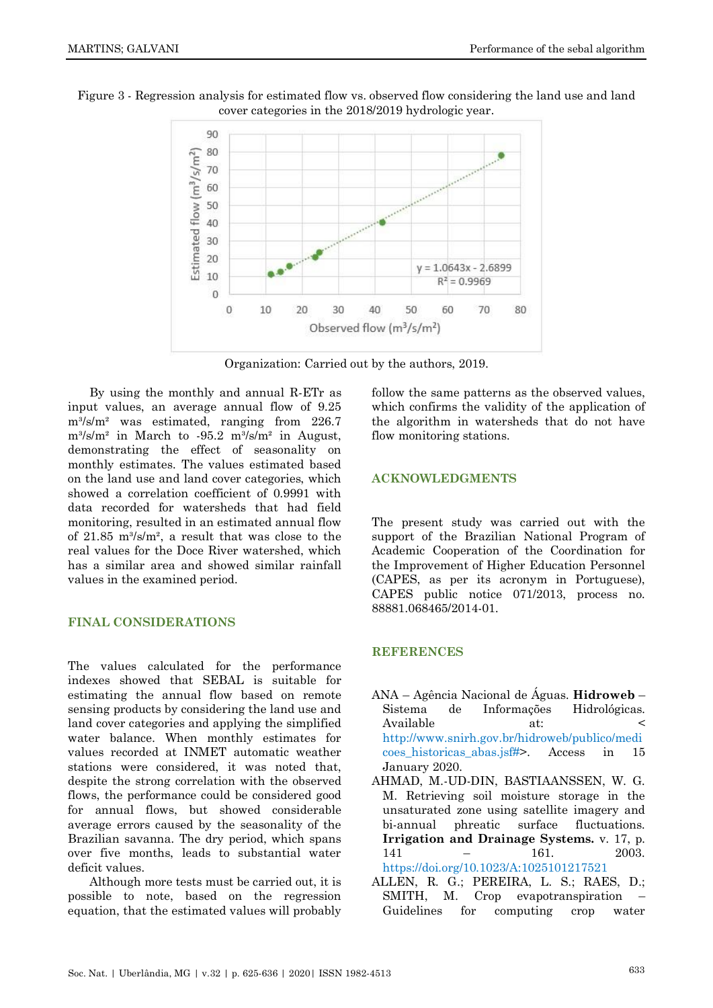

Figure 3 - Regression analysis for estimated flow vs. observed flow considering the land use and land cover categories in the 2018/2019 hydrologic year.

Organization: Carried out by the authors, 2019.

By using the monthly and annual R-ETr as input values, an average annual flow of 9.25  $m^3/s/m^2$  was estimated, ranging from 226.7 m³/s/m² in March to -95.2 m³/s/m² in August, demonstrating the effect of seasonality on monthly estimates. The values estimated based on the land use and land cover categories, which showed a correlation coefficient of 0.9991 with data recorded for watersheds that had field monitoring, resulted in an estimated annual flow of  $21.85 \text{ m}^3/\text{s/m}^2$ , a result that was close to the real values for the Doce River watershed, which has a similar area and showed similar rainfall values in the examined period.

# **FINAL CONSIDERATIONS**

The values calculated for the performance indexes showed that SEBAL is suitable for estimating the annual flow based on remote sensing products by considering the land use and land cover categories and applying the simplified water balance. When monthly estimates for values recorded at INMET automatic weather stations were considered, it was noted that, despite the strong correlation with the observed flows, the performance could be considered good for annual flows, but showed considerable average errors caused by the seasonality of the Brazilian savanna. The dry period, which spans over five months, leads to substantial water deficit values.

Although more tests must be carried out, it is possible to note, based on the regression equation, that the estimated values will probably

follow the same patterns as the observed values, which confirms the validity of the application of the algorithm in watersheds that do not have flow monitoring stations.

# **ACKNOWLEDGMENTS**

The present study was carried out with the support of the Brazilian National Program of Academic Cooperation of the Coordination for the Improvement of Higher Education Personnel (CAPES, as per its acronym in Portuguese), CAPES public notice 071/2013, process no. 88881.068465/2014-01.

#### **REFERENCES**

- <span id="page-8-1"></span>ANA – Agência Nacional de Águas. **Hidroweb** – Sistema de Informações Hidrológicas. Available at: < [http://www.snirh.gov.br/hidroweb/publico/medi](http://www.snirh.gov.br/hidroweb/publico/medicoes_historicas_abas.jsf) coes historicas abas.jsf#>. Access in 15 January 2020.
- <span id="page-8-0"></span>AHMAD, M.-UD-DIN, BASTIAANSSEN, W. G. M. Retrieving soil moisture storage in the unsaturated zone using satellite imagery and bi-annual phreatic surface fluctuations. **Irrigation and Drainage Systems.** v. 17, p. 141 – 161. 2003. <https://doi.org/10.1023/A:1025101217521>
- ALLEN, R. G.; PEREIRA, L. S.; RAES, D.; SMITH, M. Crop evapotranspiration Guidelines for computing crop water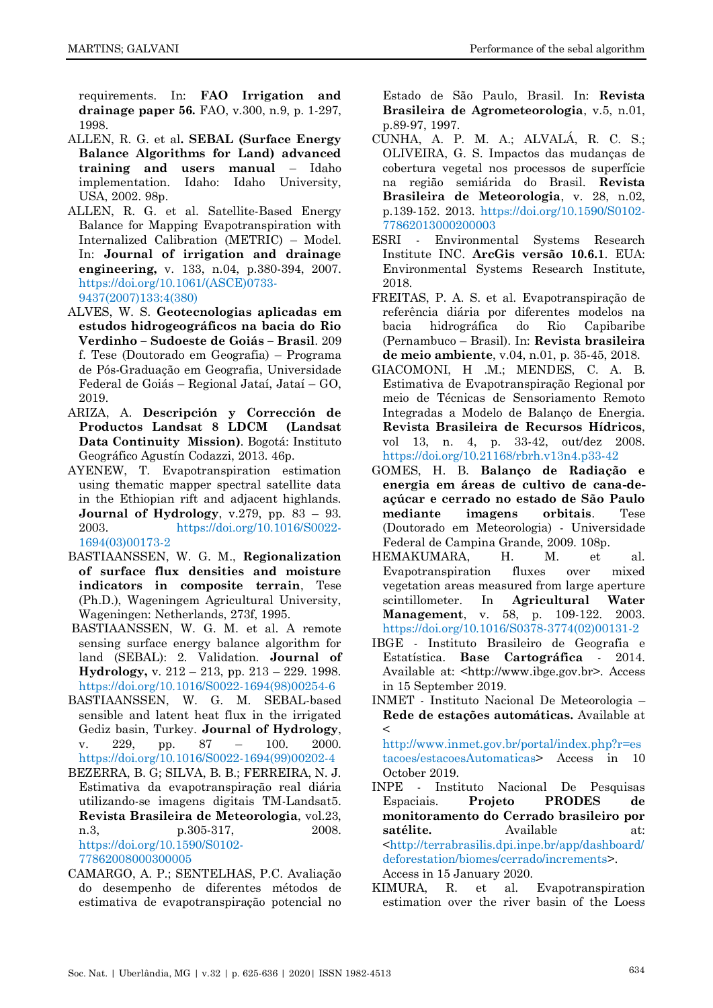requirements. In: **FAO Irrigation and drainage paper 56.** FAO, v.300, n.9, p. 1-297, 1998.

- <span id="page-9-5"></span>ALLEN, R. G. et al**. SEBAL (Surface Energy Balance Algorithms for Land) advanced training and users manual** – Idaho implementation. Idaho: Idaho University, USA, 2002. 98p.
- <span id="page-9-15"></span>ALLEN, R. G. et al. Satellite-Based Energy Balance for Mapping Evapotranspiration with Internalized Calibration (METRIC) – Model. In: **Journal of irrigation and drainage engineering,** v. 133, n.04, p.380-394, 2007. [https://doi.org/10.1061/\(ASCE\)0733-](https://doi.org/10.1061/(ASCE)0733-9437(2007)133:4(380)) [9437\(2007\)133:4\(380\)](https://doi.org/10.1061/(ASCE)0733-9437(2007)133:4(380))
- <span id="page-9-1"></span>ALVES, W. S. **Geotecnologias aplicadas em estudos hidrogeográficos na bacia do Rio Verdinho – Sudoeste de Goiás – Brasil**. 209 f. Tese (Doutorado em Geografia) – Programa de Pós-Graduação em Geografia, Universidade Federal de Goiás – Regional Jataí, Jataí – GO, 2019.
- <span id="page-9-14"></span>ARIZA, A. **Descripción y Corrección de Productos Landsat 8 LDCM (Landsat Data Continuity Mission)**. Bogotá: Instituto Geográfico Agustín Codazzi, 2013. 46p.
- <span id="page-9-6"></span>AYENEW, T. Evapotranspiration estimation using thematic mapper spectral satellite data in the Ethiopian rift and adjacent highlands. **Journal of Hydrology**, v.279, pp. 83 – 93. 2003. [https://doi.org/10.1016/S0022-](https://doi.org/10.1016/S0022-1694(03)00173-2) [1694\(03\)00173-2](https://doi.org/10.1016/S0022-1694(03)00173-2)
- <span id="page-9-2"></span>BASTIAANSSEN, W. G. M., **Regionalization of surface flux densities and moisture indicators in composite terrain**, Tese (Ph.D.), Wageningem Agricultural University, Wageningen: Netherlands, 273f, 1995.
- <span id="page-9-3"></span>BASTIAANSSEN, W. G. M. et al. A remote sensing surface energy balance algorithm for land (SEBAL): 2. Validation. **Journal of Hydrology,** v. 212 – 213, pp. 213 – 229. 1998. [https://doi.org/10.1016/S0022-1694\(98\)00254-6](https://doi.org/10.1016/S0022-1694(98)00254-6)
- <span id="page-9-4"></span>BASTIAANSSEN, W. G. M. SEBAL-based sensible and latent heat flux in the irrigated Gediz basin, Turkey. **Journal of Hydrology**, v. 229, pp. 87 – 100. 2000. [https://doi.org/10.1016/S0022-1694\(99\)00202-4](https://doi.org/10.1016/S0022-1694(99)00202-4)
- <span id="page-9-9"></span>BEZERRA, B. G; SILVA, B. B.; FERREIRA, N. J. Estimativa da evapotranspiração real diária utilizando-se imagens digitais TM-Landsat5. **Revista Brasileira de Meteorologia**, vol.23, n.3, p.305-317, 2008. [https://doi.org/10.1590/S0102-](https://doi.org/10.1590/S0102-77862008000300005) [77862008000300005](https://doi.org/10.1590/S0102-77862008000300005)
- <span id="page-9-16"></span>CAMARGO, A. P.; SENTELHAS, P.C. Avaliação do desempenho de diferentes métodos de estimativa de evapotranspiração potencial no

Estado de São Paulo, Brasil. In: **Revista Brasileira de Agrometeorologia**, v.5, n.01, p.89-97, 1997.

- <span id="page-9-0"></span>CUNHA, A. P. M. A.; ALVALÁ, R. C. S.; OLIVEIRA, G. S. Impactos das mudanças de cobertura vegetal nos processos de superfície na região semiárida do Brasil. **Revista Brasileira de Meteorologia**, v. 28, n.02, p.139-152. 2013. [https://doi.org/10.1590/S0102-](https://doi.org/10.1590/S0102-77862013000200003) [77862013000200003](https://doi.org/10.1590/S0102-77862013000200003)
- ESRI Environmental Systems Research Institute INC. **ArcGis versão 10.6.1**. EUA: Environmental Systems Research Institute, 2018.
- <span id="page-9-12"></span>FREITAS, P. A. S. et al. Evapotranspiração de referência diária por diferentes modelos na bacia hidrográfica do Rio Capibaribe (Pernambuco – Brasil). In: **Revista brasileira de meio ambiente**, v.04, n.01, p. 35-45, 2018.
- <span id="page-9-8"></span>GIACOMONI, H .M.; MENDES, C. A. B. Estimativa de Evapotranspiração Regional por meio de Técnicas de Sensoriamento Remoto Integradas a Modelo de Balanço de Energia. **Revista Brasileira de Recursos Hídricos**, vol 13, n. 4, p. 33-42, out/dez 2008. <https://doi.org/10.21168/rbrh.v13n4.p33-42>
- <span id="page-9-11"></span>GOMES, H. B. **Balanço de Radiação e energia em áreas de cultivo de cana-deaçúcar e cerrado no estado de São Paulo mediante imagens orbitais**. Tese (Doutorado em Meteorologia) - Universidade Federal de Campina Grande, 2009. 108p.
- <span id="page-9-7"></span>HEMAKUMARA, H. M. et al. Evapotranspiration fluxes over mixed vegetation areas measured from large aperture scintillometer. In **Agricultural Water Management**, v. 58, p. 109-122. 2003. [https://doi.org/10.1016/S0378-3774\(02\)00131-2](https://doi.org/10.1016/S0378-3774(02)00131-2)
- <span id="page-9-13"></span>IBGE - Instituto Brasileiro de Geografia e Estatística. **Base Cartográfica** - 2014. Available at: <http://www.ibge.gov.br>. Access in 15 September 2019.
- <span id="page-9-17"></span>INMET - Instituto Nacional De Meteorologia – **Rede de estações automáticas.** Available at  $\lt$

[http://www.inmet.gov.br/portal/index.php?r=es](http://www.inmet.gov.br/portal/index.php?r=estacoes/estacoesAutomaticas) [tacoes/estacoesAutomaticas>](http://www.inmet.gov.br/portal/index.php?r=estacoes/estacoesAutomaticas) Access in 10 October 2019.

- INPE Instituto Nacional De Pesquisas Espaciais. **Projeto PRODES de monitoramento do Cerrado brasileiro por satélite.** Available at: [<http://terrabrasilis.dpi.inpe.br/app/dashboard/](http://terrabrasilis.dpi.inpe.br/app/dashboard/deforestation/biomes/cerrado/increments) [deforestation/biomes/cerrado/increments>](http://terrabrasilis.dpi.inpe.br/app/dashboard/deforestation/biomes/cerrado/increments). Access in 15 January 2020.
- <span id="page-9-10"></span>KIMURA, R. et al. Evapotranspiration estimation over the river basin of the Loess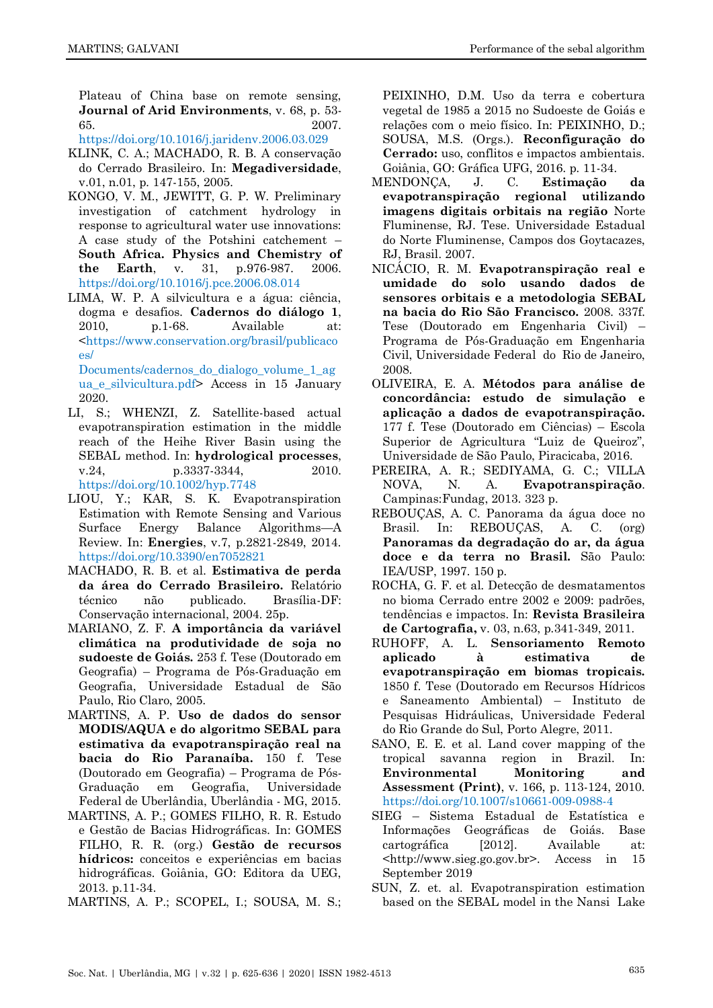Plateau of China base on remote sensing, **Journal of Arid Environments**, v. 68, p. 53- 65. 2007.

<span id="page-10-2"></span><https://doi.org/10.1016/j.jaridenv.2006.03.029>

- KLINK, C. A.; MACHADO, R. B. A conservação do Cerrado Brasileiro. In: **Megadiversidade**, v.01, n.01, p. 147-155, 2005.
- <span id="page-10-9"></span>KONGO, V. M., JEWITT, G. P. W. Preliminary investigation of catchment hydrology in response to agricultural water use innovations: A case study of the Potshini catchement – **South Africa. Physics and Chemistry of the Earth**, v. 31, p.976-987. 2006. <https://doi.org/10.1016/j.pce.2006.08.014>
- <span id="page-10-5"></span>LIMA, W. P. A silvicultura e a água: ciência, dogma e desafios. **Cadernos do diálogo 1**, 2010, p.1-68. Available at: [<https://www.conservation.org/brasil/publicaco](https://www.conservation.org/brasil/publicacoes/%20Documents/cadernos_do_dialogo_volume_1_agua_e_silvicultura.pdf)  $\alpha s/$

[Documents/cadernos\\_do\\_dialogo\\_volume\\_1\\_ag](https://www.conservation.org/brasil/publicacoes/%20Documents/cadernos_do_dialogo_volume_1_agua_e_silvicultura.pdf) ua e silvicultura.pdf> Access in 15 January 2020.

- <span id="page-10-12"></span>LI, S.; WHENZI, Z. Satellite-based actual evapotranspiration estimation in the middle reach of the Heihe River Basin using the SEBAL method. In: **hydrological processes**, v.24, p.3337-3344, 2010. <https://doi.org/10.1002/hyp.7748>
- <span id="page-10-8"></span>LIOU, Y.; KAR, S. K. Evapotranspiration Estimation with Remote Sensing and Various Surface Energy Balance Algorithms—A Review. In: **Energies**, v.7, p.2821-2849, 2014. <https://doi.org/10.3390/en7052821>
- <span id="page-10-3"></span>MACHADO, R. B. et al. **Estimativa de perda da área do Cerrado Brasileiro.** Relatório técnico não publicado. Brasília-DF: Conservação internacional, 2004. 25p.
- <span id="page-10-17"></span>MARIANO, Z. F. **A importância da variável climática na produtividade de soja no sudoeste de Goiás.** 253 f. Tese (Doutorado em Geografia) – Programa de Pós-Graduação em Geografia, Universidade Estadual de São Paulo, Rio Claro, 2005.
- <span id="page-10-7"></span>MARTINS, A. P. **Uso de dados do sensor MODIS/AQUA e do algoritmo SEBAL para estimativa da evapotranspiração real na bacia do Rio Paranaíba.** 150 f. Tese (Doutorado em Geografia) – Programa de Pós-Graduação em Geografia, Universidade Federal de Uberlândia, Uberlândia - MG, 2015.
- <span id="page-10-1"></span>MARTINS, A. P.; GOMES FILHO, R. R. Estudo e Gestão de Bacias Hidrográficas. In: GOMES FILHO, R. R. (org.) **Gestão de recursos hídricos:** conceitos e experiências em bacias hidrográficas. Goiânia, GO: Editora da UEG, 2013. p.11-34.
- <span id="page-10-15"></span>MARTINS, A. P.; SCOPEL, I.; SOUSA, M. S.;

PEIXINHO, D.M. Uso da terra e cobertura vegetal de 1985 a 2015 no Sudoeste de Goiás e relações com o meio físico. In: PEIXINHO, D.; SOUSA, M.S. (Orgs.). **Reconfiguração do Cerrado:** uso, conflitos e impactos ambientais. Goiânia, GO: Gráfica UFG, 2016. p. 11-34.

- <span id="page-10-10"></span>MENDONÇA, J. C. **Estimação da evapotranspiração regional utilizando imagens digitais orbitais na região** Norte Fluminense, RJ. Tese. Universidade Estadual do Norte Fluminense, Campos dos Goytacazes, RJ, Brasil. 2007.
- <span id="page-10-11"></span>NICÁCIO, R. M. **Evapotranspiração real e umidade do solo usando dados de sensores orbitais e a metodologia SEBAL na bacia do Rio São Francisco.** 2008. 337f. Tese (Doutorado em Engenharia Civil) – Programa de Pós-Graduação em Engenharia Civil, Universidade Federal do Rio de Janeiro, 2008.
- <span id="page-10-18"></span>OLIVEIRA, E. A. **Métodos para análise de concordância: estudo de simulação e aplicação a dados de evapotranspiração.** 177 f. Tese (Doutorado em Ciências) – Escola Superior de Agricultura "Luiz de Queiroz", Universidade de São Paulo, Piracicaba, 2016.
- <span id="page-10-6"></span>PEREIRA, A. R.; SEDIYAMA, G. C.; VILLA NOVA, N. A. **Evapotranspiração**. Campinas:Fundag, 2013. 323 p.
- <span id="page-10-0"></span>REBOUÇAS, A. C. Panorama da água doce no Brasil. In: REBOUÇAS, A. C. (org) **Panoramas da degradação do ar, da água doce e da terra no Brasil.** São Paulo: IEA/USP, 1997. 150 p.
- <span id="page-10-4"></span>ROCHA, G. F. et al. Detecção de desmatamentos no bioma Cerrado entre 2002 e 2009: padrões, tendências e impactos. In: **Revista Brasileira de Cartografia,** v. 03, n.63, p.341-349, 2011.
- <span id="page-10-14"></span>RUHOFF, A. L. **Sensoriamento Remoto aplicado à estimativa de evapotranspiração em biomas tropicais.**  1850 f. Tese (Doutorado em Recursos Hídricos e Saneamento Ambiental) – Instituto de Pesquisas Hidráulicas, Universidade Federal do Rio Grande do Sul, Porto Alegre, 2011.
- SANO, E. E. et al. Land cover mapping of the tropical savanna region in Brazil. In: **Environmental Monitoring and Assessment (Print)**, v. 166, p. 113-124, 2010. <https://doi.org/10.1007/s10661-009-0988-4>
- <span id="page-10-16"></span>SIEG – Sistema Estadual de Estatística e Informações Geográficas de Goiás. Base cartográfica [2012]. Available at: <http://www.sieg.go.gov.br>. Access in 15 September 2019
- <span id="page-10-13"></span>SUN, Z. et. al. Evapotranspiration estimation based on the SEBAL model in the Nansi Lake